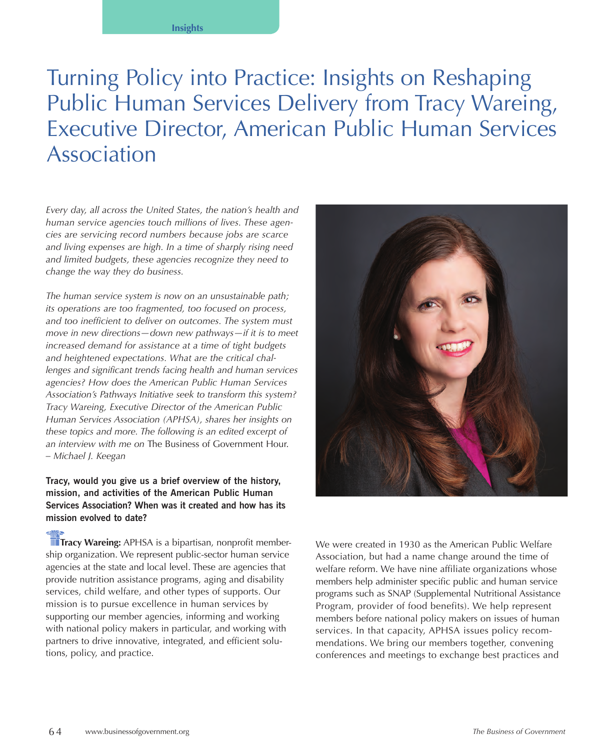# Turning Policy into Practice: Insights on Reshaping Public Human Services Delivery from Tracy Wareing, Executive Director, American Public Human Services Association

*Every day, all across the United States, the nation's health and human service agencies touch millions of lives. These agencies are servicing record numbers because jobs are scarce and living expenses are high. In a time of sharply rising need and limited budgets, these agencies recognize they need to change the way they do business.* 

*The human service system is now on an unsustainable path; its operations are too fragmented, too focused on process, and too inefficient to deliver on outcomes. The system must move in new directions—down new pathways—if it is to meet increased demand for assistance at a time of tight budgets and heightened expectations. What are the critical challenges and significant trends facing health and human services agencies? How does the American Public Human Services Association's Pathways Initiative seek to transform this system? Tracy Wareing, Executive Director of the American Public Human Services Association (APHSA), shares her insights on these topics and more. The following is an edited excerpt of an interview with me on* The Business of Government Hour. *– Michael J. Keegan* 

### **Tracy, would you give us a brief overview of the history, mission, and activities of the American Public Human Services Association? When was it created and how has its mission evolved to date?**

**Tracy Wareing:** APHSA is a bipartisan, nonprofit membership organization. We represent public-sector human service agencies at the state and local level. These are agencies that provide nutrition assistance programs, aging and disability services, child welfare, and other types of supports. Our mission is to pursue excellence in human services by supporting our member agencies, informing and working with national policy makers in particular, and working with partners to drive innovative, integrated, and efficient solutions, policy, and practice.



We were created in 1930 as the American Public Welfare Association, but had a name change around the time of welfare reform. We have nine affiliate organizations whose members help administer specific public and human service programs such as SNAP (Supplemental Nutritional Assistance Program, provider of food benefits). We help represent members before national policy makers on issues of human services. In that capacity, APHSA issues policy recommendations. We bring our members together, convening conferences and meetings to exchange best practices and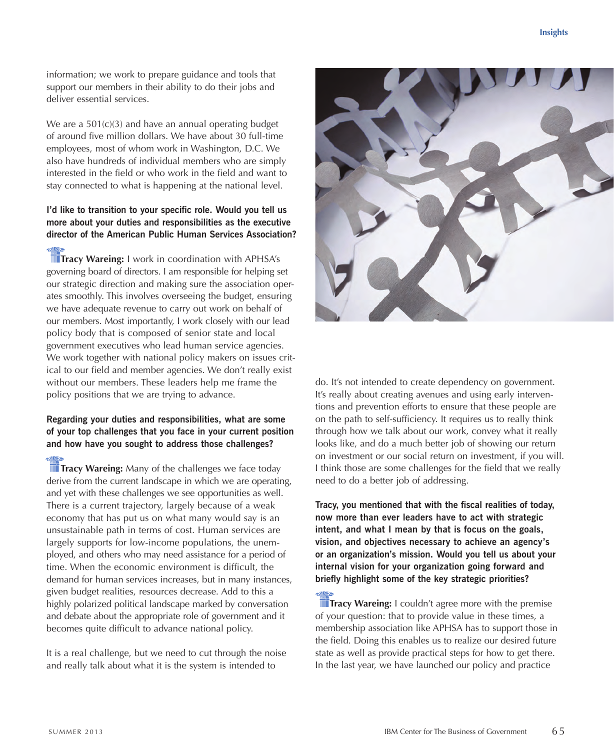#### **Insights**

information; we work to prepare guidance and tools that support our members in their ability to do their jobs and deliver essential services.

We are a  $501(c)(3)$  and have an annual operating budget of around five million dollars. We have about 30 full-time employees, most of whom work in Washington, D.C. We also have hundreds of individual members who are simply interested in the field or who work in the field and want to stay connected to what is happening at the national level.

# **I'd like to transition to your specific role. Would you tell us more about your duties and responsibilities as the executive director of the American Public Human Services Association?**

**Tracy Wareing:** I work in coordination with APHSA's governing board of directors. I am responsible for helping set our strategic direction and making sure the association operates smoothly. This involves overseeing the budget, ensuring we have adequate revenue to carry out work on behalf of our members. Most importantly, I work closely with our lead policy body that is composed of senior state and local government executives who lead human service agencies. We work together with national policy makers on issues critical to our field and member agencies. We don't really exist without our members. These leaders help me frame the policy positions that we are trying to advance.

#### **Regarding your duties and responsibilities, what are some of your top challenges that you face in your current position and how have you sought to address those challenges?**

**Tracy Wareing:** Many of the challenges we face today derive from the current landscape in which we are operating, and yet with these challenges we see opportunities as well. There is a current trajectory, largely because of a weak economy that has put us on what many would say is an unsustainable path in terms of cost. Human services are largely supports for low-income populations, the unemployed, and others who may need assistance for a period of time. When the economic environment is difficult, the demand for human services increases, but in many instances, given budget realities, resources decrease. Add to this a highly polarized political landscape marked by conversation and debate about the appropriate role of government and it becomes quite difficult to advance national policy.

It is a real challenge, but we need to cut through the noise and really talk about what it is the system is intended to



do. It's not intended to create dependency on government. It's really about creating avenues and using early interventions and prevention efforts to ensure that these people are on the path to self-sufficiency. It requires us to really think through how we talk about our work, convey what it really looks like, and do a much better job of showing our return on investment or our social return on investment, if you will. I think those are some challenges for the field that we really need to do a better job of addressing.

**Tracy, you mentioned that with the fiscal realities of today, now more than ever leaders have to act with strategic intent, and what I mean by that is focus on the goals, vision, and objectives necessary to achieve an agency's or an organization's mission. Would you tell us about your internal vision for your organization going forward and briefly highlight some of the key strategic priorities?** 

**Tracy Wareing:** I couldn't agree more with the premise of your question: that to provide value in these times, a membership association like APHSA has to support those in the field. Doing this enables us to realize our desired future state as well as provide practical steps for how to get there. In the last year, we have launched our policy and practice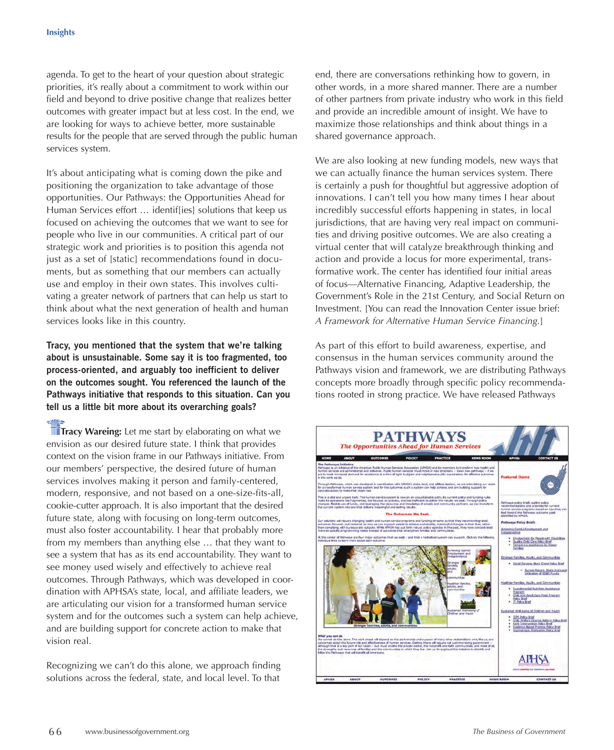agenda. To get to the heart of your question about strategic priorities, it's really about a commitment to work within our field and beyond to drive positive change that realizes better outcomes with greater impact but at less cost. In the end, we are looking for ways to achieve better, more sustainable results for the people that are served through the public human services system.

It's about anticipating what is coming down the pike and positioning the organization to take advantage of those opportunities. Our Pathways: the Opportunities Ahead for Human Services effort … identif[ies] solutions that keep us focused on achieving the outcomes that we want to see for people who live in our communities. A critical part of our strategic work and priorities is to position this agenda not just as a set of [static] recommendations found in documents, but as something that our members can actually use and employ in their own states. This involves cultivating a greater network of partners that can help us start to think about what the next generation of health and human services looks like in this country.

**Tracy, you mentioned that the system that we're talking about is unsustainable. Some say it is too fragmented, too process-oriented, and arguably too inefficient to deliver on the outcomes sought. You referenced the launch of the Pathways initiative that responds to this situation. Can you tell us a little bit more about its overarching goals?**

**Tracy Wareing:** Let me start by elaborating on what we envision as our desired future state. I think that provides context on the vision frame in our Pathways initiative. From our members' perspective, the desired future of human services involves making it person and family-centered, modern, responsive, and not based on a one-size-fits-all, cookie-cutter approach. It is also important that the desired future state, along with focusing on long-term outcomes, must also foster accountability. I hear that probably more from my members than anything else … that they want to see a system that has as its end accountability. They want to see money used wisely and effectively to achieve real outcomes. Through Pathways, which was developed in coordination with APHSA's state, local, and affiliate leaders, we are articulating our vision for a transformed human service system and for the outcomes such a system can help achieve, and are building support for concrete action to make that vision real.

Recognizing we can't do this alone, we approach finding solutions across the federal, state, and local level. To that

end, there are conversations rethinking how to govern, in other words, in a more shared manner. There are a number of other partners from private industry who work in this field and provide an incredible amount of insight. We have to maximize those relationships and think about things in a shared governance approach.

We are also looking at new funding models, new ways that we can actually finance the human services system. There is certainly a push for thoughtful but aggressive adoption of innovations. I can't tell you how many times I hear about incredibly successful efforts happening in states, in local jurisdictions, that are having very real impact on communities and driving positive outcomes. We are also creating a virtual center that will catalyze breakthrough thinking and action and provide a locus for more experimental, transformative work. The center has identified four initial areas of focus—Alternative Financing, Adaptive Leadership, the Government's Role in the 21st Century, and Social Return on Investment. [You can read the Innovation Center issue brief: *A Framework for Alternative Human Service Financing.*]

As part of this effort to build awareness, expertise, and consensus in the human services community around the Pathways vision and framework, we are distributing Pathways concepts more broadly through specific policy recommendations rooted in strong practice. We have released Pathways

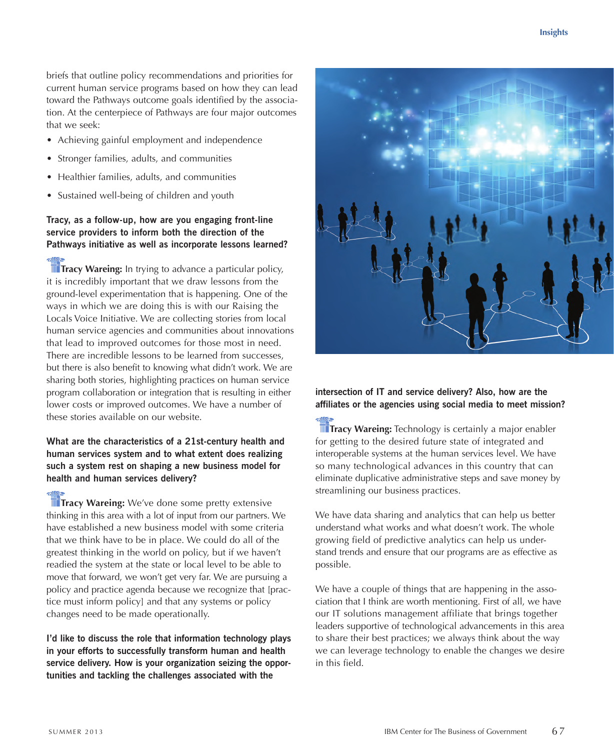briefs that outline policy recommendations and priorities for current human service programs based on how they can lead toward the Pathways outcome goals identified by the association. At the centerpiece of Pathways are four major outcomes that we seek:

- Achieving gainful employment and independence
- Stronger families, adults, and communities
- Healthier families, adults, and communities
- Sustained well-being of children and youth

## **Tracy, as a follow-up, how are you engaging front-line service providers to inform both the direction of the Pathways initiative as well as incorporate lessons learned?**

**Tracy Wareing:** In trying to advance a particular policy, it is incredibly important that we draw lessons from the ground-level experimentation that is happening. One of the ways in which we are doing this is with our Raising the Locals Voice Initiative. We are collecting stories from local human service agencies and communities about innovations that lead to improved outcomes for those most in need. There are incredible lessons to be learned from successes, but there is also benefit to knowing what didn't work. We are sharing both stories, highlighting practices on human service program collaboration or integration that is resulting in either lower costs or improved outcomes. We have a number of these stories available on our website.

### **What are the characteristics of a 21st-century health and human services system and to what extent does realizing such a system rest on shaping a new business model for health and human services delivery?**

**Tracy Wareing:** We've done some pretty extensive thinking in this area with a lot of input from our partners. We have established a new business model with some criteria that we think have to be in place. We could do all of the greatest thinking in the world on policy, but if we haven't readied the system at the state or local level to be able to move that forward, we won't get very far. We are pursuing a policy and practice agenda because we recognize that [practice must inform policy] and that any systems or policy changes need to be made operationally.

**I'd like to discuss the role that information technology plays in your efforts to successfully transform human and health service delivery. How is your organization seizing the opportunities and tackling the challenges associated with the** 



**intersection of IT and service delivery? Also, how are the affiliates or the agencies using social media to meet mission?**

**Tracy Wareing:** Technology is certainly a major enabler for getting to the desired future state of integrated and interoperable systems at the human services level. We have so many technological advances in this country that can eliminate duplicative administrative steps and save money by streamlining our business practices.

We have data sharing and analytics that can help us better understand what works and what doesn't work. The whole growing field of predictive analytics can help us understand trends and ensure that our programs are as effective as possible.

We have a couple of things that are happening in the association that I think are worth mentioning. First of all, we have our IT solutions management affiliate that brings together leaders supportive of technological advancements in this area to share their best practices; we always think about the way we can leverage technology to enable the changes we desire in this field.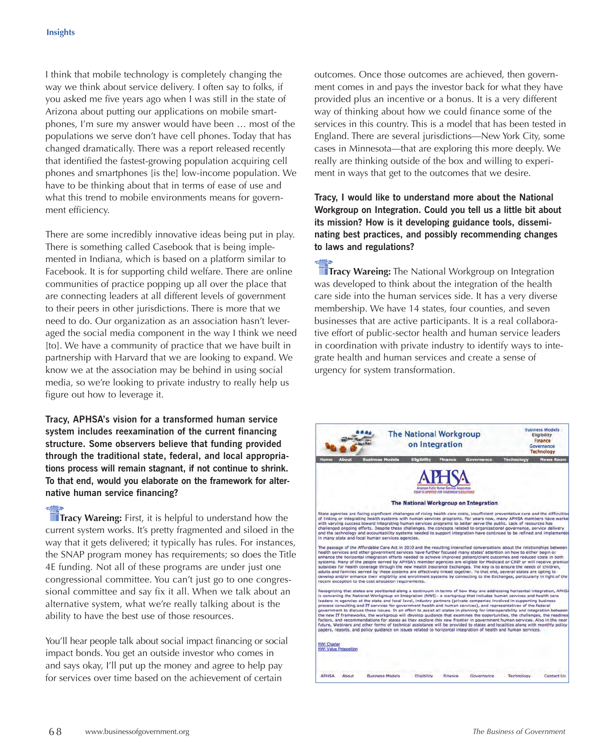I think that mobile technology is completely changing the way we think about service delivery. I often say to folks, if you asked me five years ago when I was still in the state of Arizona about putting our applications on mobile smartphones, I'm sure my answer would have been … most of the populations we serve don't have cell phones. Today that has changed dramatically. There was a report released recently that identified the fastest-growing population acquiring cell phones and smartphones [is the] low-income population. We have to be thinking about that in terms of ease of use and what this trend to mobile environments means for government efficiency.

There are some incredibly innovative ideas being put in play. There is something called Casebook that is being implemented in Indiana, which is based on a platform similar to Facebook. It is for supporting child welfare. There are online communities of practice popping up all over the place that are connecting leaders at all different levels of government to their peers in other jurisdictions. There is more that we need to do. Our organization as an association hasn't leveraged the social media component in the way I think we need [to]. We have a community of practice that we have built in partnership with Harvard that we are looking to expand. We know we at the association may be behind in using social media, so we're looking to private industry to really help us figure out how to leverage it.

**Tracy, APHSA's vision for a transformed human service system includes reexamination of the current financing structure. Some observers believe that funding provided through the traditional state, federal, and local appropriations process will remain stagnant, if not continue to shrink. To that end, would you elaborate on the framework for alternative human service financing?**

**Tracy Wareing:** First, it is helpful to understand how the current system works. It's pretty fragmented and siloed in the way that it gets delivered; it typically has rules. For instances, the SNAP program money has requirements; so does the Title 4E funding. Not all of these programs are under just one congressional committee. You can't just go to one congressional committee and say fix it all. When we talk about an alternative system, what we're really talking about is the ability to have the best use of those resources.

You'll hear people talk about social impact financing or social impact bonds. You get an outside investor who comes in and says okay, I'll put up the money and agree to help pay for services over time based on the achievement of certain

outcomes. Once those outcomes are achieved, then government comes in and pays the investor back for what they have provided plus an incentive or a bonus. It is a very different way of thinking about how we could finance some of the services in this country. This is a model that has been tested in England. There are several jurisdictions—New York City, some cases in Minnesota—that are exploring this more deeply. We really are thinking outside of the box and willing to experiment in ways that get to the outcomes that we desire.

**Tracy, I would like to understand more about the National Workgroup on Integration. Could you tell us a little bit about its mission? How is it developing guidance tools, disseminating best practices, and possibly recommending changes to laws and regulations?**

**Tracy Wareing:** The National Workgroup on Integration was developed to think about the integration of the health care side into the human services side. It has a very diverse membership. We have 14 states, four counties, and seven businesses that are active participants. It is a real collaborative effort of public-sector health and human service leaders in coordination with private industry to identify ways to integrate health and human services and create a sense of urgency for system transformation.